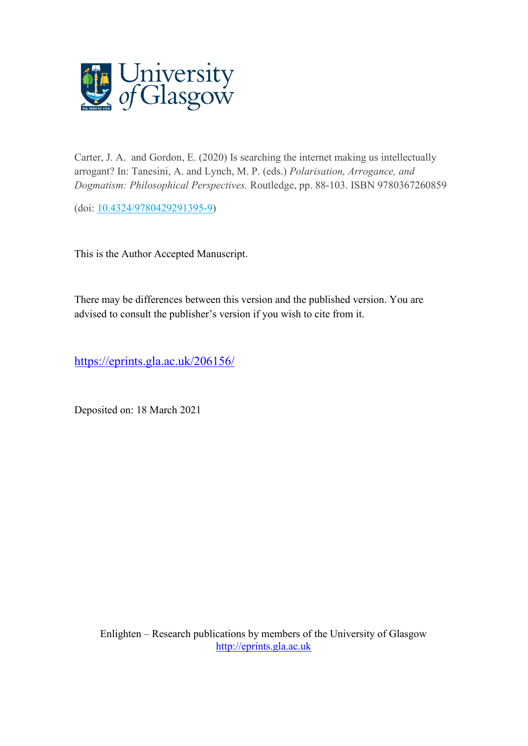

Carter, J. A. and Gordon, E. (2020) Is searching the internet making us intellectually arrogant? In: Tanesini, A. and Lynch, M. P. (eds.) *Polarisation, Arrogance, and Dogmatism: Philosophical Perspectives.* Routledge, pp. 88-103. ISBN 9780367260859

(doi: [10.4324/9780429291395-9\)](http://dx.doi.org/10.4324/9780429291395-9)

This is the Author Accepted Manuscript.

There may be differences between this version and the published version. You are advised to consult the publisher's version if you wish to cite from it.

<https://eprints.gla.ac.uk/206156/>

Deposited on: 18 March 2021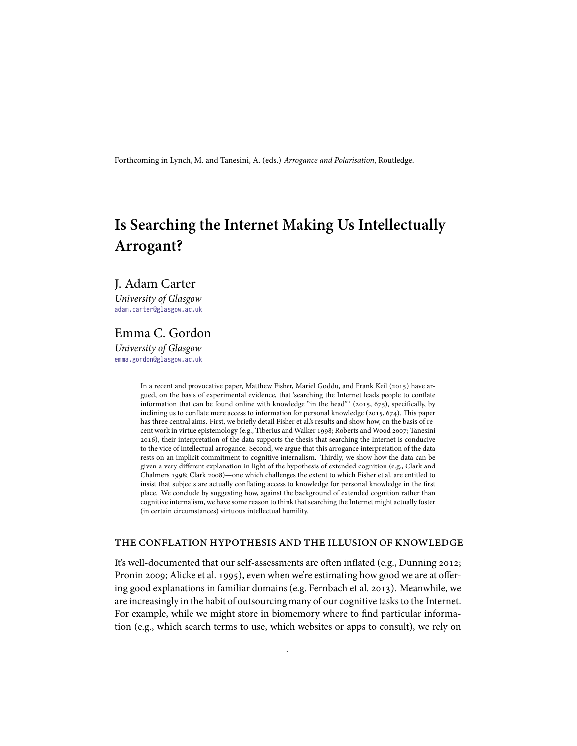Forthcoming in Lynch, M. and Tanesini, A. (eds.) *Arrogance and Polarisation*, Routledge.

# **Is Searching the Internet Making Us Intellectually Arrogant?**

J. Adam Carter *University of Glasgow* <adam.carter@glasgow.ac.uk>

# Emma C. Gordon *University of Glasgow*

<emma.gordon@glasgow.ac.uk>

In a recent and provocative paper, Matthew Fisher, Mariel Goddu, and Frank Keil (2015) have argued, on the basis of experimental evidence, that 'searching the Internet leads people to conflate information that can be found online with knowledge "in the head" ' (2015, 675), specifically, by inclining us to conflate mere access to information for personal knowledge (2015, 674). This paper has three central aims. First, we briefly detail Fisher et al.'s results and show how, on the basis of recent work in virtue epistemology (e.g., Tiberius and Walker 1998; Roberts and Wood 2007; Tanesini 2016), their interpretation of the data supports the thesis that searching the Internet is conducive to the vice of intellectual arrogance. Second, we argue that this arrogance interpretation of the data rests on an implicit commitment to cognitive internalism. Thirdly, we show how the data can be given a very different explanation in light of the hypothesis of extended cognition (e.g., Clark and Chalmers 1998; Clark 2008)—one which challenges the extent to which Fisher et al. are entitled to insist that subjects are actually conflating access to knowledge for personal knowledge in the first place. We conclude by suggesting how, against the background of extended cognition rather than cognitive internalism, we have some reason to think that searching the Internet might actually foster (in certain circumstances) virtuous intellectual humility.

#### the conflation hypothesis and the illusion of knowledge

It's well-documented that our self-assessments are often inflated (e.g., Dunning 2012; Pronin 2009; Alicke et al. 1995), even when we're estimating how good we are at offering good explanations in familiar domains (e.g. Fernbach et al. 2013). Meanwhile, we are increasingly in the habit of outsourcing many of our cognitive tasks to the Internet. For example, while we might store in biomemory where to find particular information (e.g., which search terms to use, which websites or apps to consult), we rely on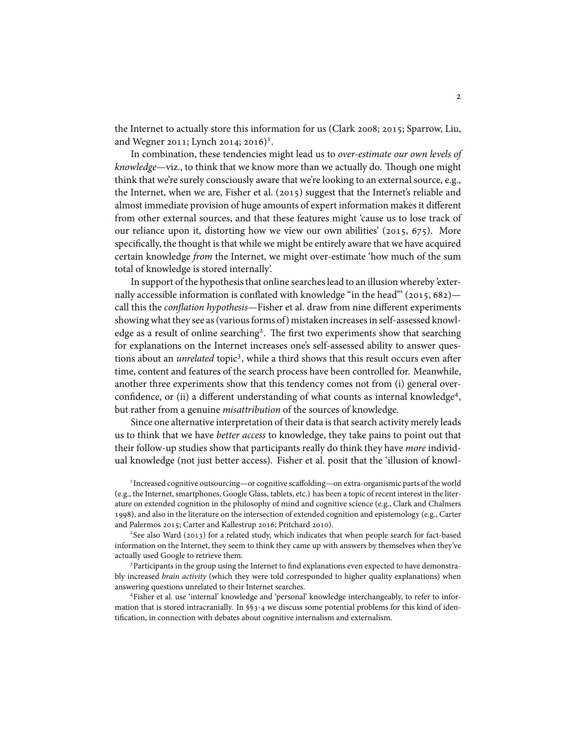the Internet to actually store this information for us (Clark 2008; 2015; Sparrow, Liu, and Wegner 20[1](#page-2-0)1; Lynch 2014; 2016)<sup>1</sup>.

In combination, these tendencies might lead us to *over-estimate our own levels of knowledge*—viz., to think that we know more than we actually do. Though one might think that we're surely consciously aware that we're looking to an external source, e.g., the Internet, when we are, Fisher et al. (2015) suggest that the Internet's reliable and almost immediate provision of huge amounts of expert information makes it different from other external sources, and that these features might 'cause us to lose track of our reliance upon it, distorting how we view our own abilities' (2015, 675). More specifically, the thought is that while we might be entirely aware that we have acquired certain knowledge *from* the Internet, we might over-estimate 'how much of the sum total of knowledge is stored internally'.

In support of the hypothesis that online searches lead to an illusion whereby 'externally accessible information is conflated with knowledge "in the head"' (2015, 682)call this the *conflation hypothesis*—Fisher et al. draw from nine different experiments showing what they see as (various forms of) mistaken increases in self-assessed knowl-edge as a result of online searching<sup>[2](#page-2-1)</sup>. The first two experiments show that searching for explanations on the Internet increases one's self-assessed ability to answer questions about an *unrelated* topic<sup>[3](#page-2-2)</sup>, while a third shows that this result occurs even after time, content and features of the search process have been controlled for. Meanwhile, another three experiments show that this tendency comes not from (i) general over-confidence, or (ii) a different understanding of what counts as internal knowledge<sup>[4](#page-2-3)</sup>, but rather from a genuine *misattribution* of the sources of knowledge.

Since one alternative interpretation of their data is that search activity merely leads us to think that we have *better access* to knowledge, they take pains to point out that their follow-up studies show that participants really do think they have *more* individual knowledge (not just better access). Fisher et al. posit that the 'illusion of knowl-

<span id="page-2-0"></span><sup>1</sup> Increased cognitive outsourcing—or cognitive scaffolding—on extra-organismic parts of the world (e.g., the Internet, smartphones, Google Glass, tablets, etc.) has been a topic of recent interest in the literature on extended cognition in the philosophy of mind and cognitive science (e.g., Clark and Chalmers 1998), and also in the literature on the intersection of extended cognition and epistemology (e.g., Carter and Palermos 2015; Carter and Kallestrup 2016; Pritchard 2010).

<span id="page-2-1"></span><sup>2</sup>See also Ward (2013) for a related study, which indicates that when people search for fact-based information on the Internet, they seem to think they came up with answers by themselves when they've actually used Google to retrieve them.

<span id="page-2-2"></span><sup>3</sup> Participants in the group using the Internet to find explanations even expected to have demonstrably increased *brain activity* (which they were told corresponded to higher quality explanations) when answering questions unrelated to their Internet searches.

<span id="page-2-3"></span>4 Fisher et al. use 'internal' knowledge and 'personal' knowledge interchangeably, to refer to information that is stored intracranially. In §§3-4 we discuss some potential problems for this kind of identification, in connection with debates about cognitive internalism and externalism.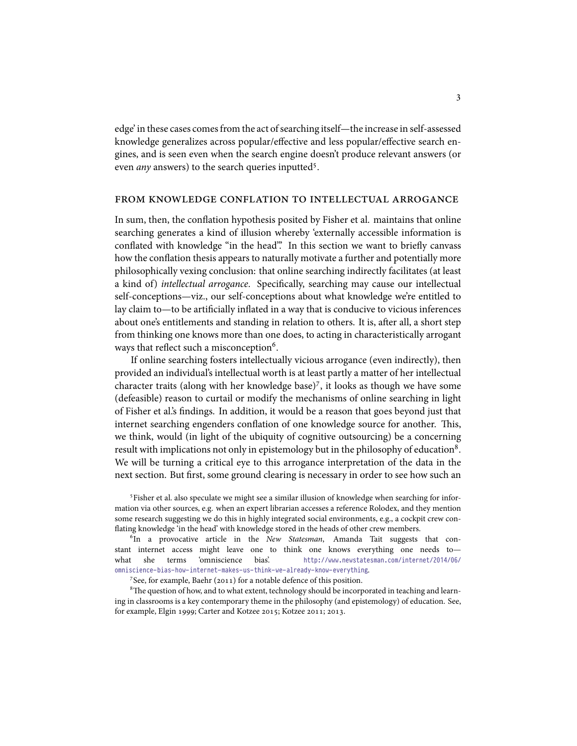edge' in these cases comes from the act of searching itself—the increase in self-assessed knowledge generalizes across popular/effective and less popular/effective search engines, and is seen even when the search engine doesn't produce relevant answers (or even *any* answers) to the search queries inputted<sup>[5](#page-3-0)</sup>.

### from knowledge conflation to intellectual arrogance

In sum, then, the conflation hypothesis posited by Fisher et al. maintains that online searching generates a kind of illusion whereby 'externally accessible information is conflated with knowledge "in the head". In this section we want to briefly canvass how the conflation thesis appears to naturally motivate a further and potentially more philosophically vexing conclusion: that online searching indirectly facilitates (at least a kind of) *intellectual arrogance*. Specifically, searching may cause our intellectual self-conceptions—viz., our self-conceptions about what knowledge we're entitled to lay claim to—to be artificially inflated in a way that is conducive to vicious inferences about one's entitlements and standing in relation to others. It is, after all, a short step from thinking one knows more than one does, to acting in characteristically arrogant ways that reflect such a misconception<sup>[6](#page-3-1)</sup>.

If online searching fosters intellectually vicious arrogance (even indirectly), then provided an individual's intellectual worth is at least partly a matter of her intellectual character traits (along with her knowledge base)[7](#page-3-2) , it looks as though we have some (defeasible) reason to curtail or modify the mechanisms of online searching in light of Fisher et al.'s findings. In addition, it would be a reason that goes beyond just that internet searching engenders conflation of one knowledge source for another. This, we think, would (in light of the ubiquity of cognitive outsourcing) be a concerning result with implications not only in epistemology but in the philosophy of education $^8$  $^8$ . We will be turning a critical eye to this arrogance interpretation of the data in the next section. But first, some ground clearing is necessary in order to see how such an

<span id="page-3-0"></span><sup>5</sup>Fisher et al. also speculate we might see a similar illusion of knowledge when searching for information via other sources, e.g. when an expert librarian accesses a reference Rolodex, and they mention some research suggesting we do this in highly integrated social environments, e.g., a cockpit crew conflating knowledge 'in the head' with knowledge stored in the heads of other crew members.

<span id="page-3-1"></span>6 In a provocative article in the *New Statesman*, Amanda Tait suggests that constant internet access might leave one to think one knows everything one needs to what she terms 'omniscience bias'. [http://www.newstatesman.com/internet/2014/06/](http://www.newstatesman.com/internet/2014/06/omniscience-bias-how-internet-makes-us-think-we-already-know-everything) [omniscience-bias-how-internet-makes-us-think-we-already-know-everything](http://www.newstatesman.com/internet/2014/06/omniscience-bias-how-internet-makes-us-think-we-already-know-everything).

<span id="page-3-3"></span><span id="page-3-2"></span>7 See, for example, Baehr (2011) for a notable defence of this position.

<sup>8</sup>The question of how, and to what extent, technology should be incorporated in teaching and learning in classrooms is a key contemporary theme in the philosophy (and epistemology) of education. See, for example, Elgin 1999; Carter and Kotzee 2015; Kotzee 2011; 2013.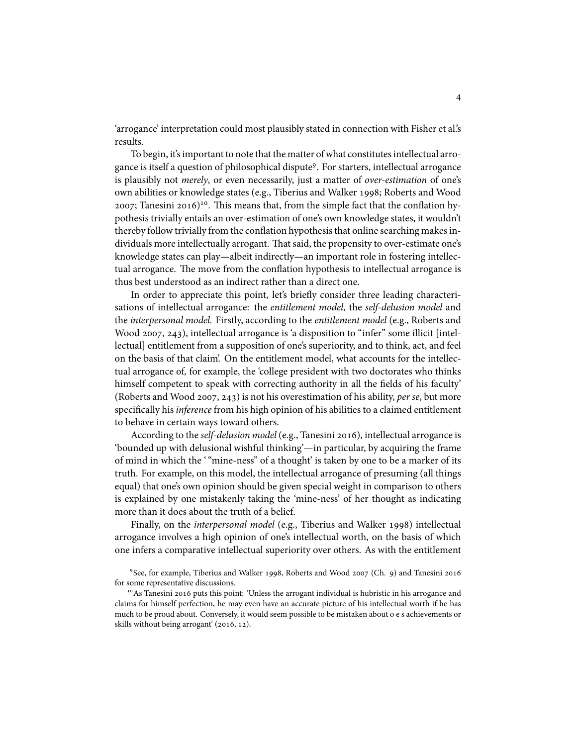'arrogance' interpretation could most plausibly stated in connection with Fisher et al.'s results.

To begin, it's important to note that the matter of what constitutes intellectual arro-gance is itself a question of philosophical dispute<sup>[9](#page-4-0)</sup>. For starters, intellectual arrogance is plausibly not *merely*, or even necessarily, just a matter of *over-estimation* of one's own abilities or knowledge states (e.g., Tiberius and Walker 1998; Roberts and Wood 2007; Tanesini 2016)<sup>[10](#page-4-1)</sup>. This means that, from the simple fact that the conflation hypothesis trivially entails an over-estimation of one's own knowledge states, it wouldn't thereby follow trivially from the conflation hypothesis that online searching makes individuals more intellectually arrogant. That said, the propensity to over-estimate one's knowledge states can play—albeit indirectly—an important role in fostering intellectual arrogance. The move from the conflation hypothesis to intellectual arrogance is thus best understood as an indirect rather than a direct one.

In order to appreciate this point, let's briefly consider three leading characterisations of intellectual arrogance: the *entitlement model*, the *self-delusion model* and the *interpersonal model.* Firstly, according to the *entitlement model* (e.g., Roberts and Wood 2007, 243), intellectual arrogance is 'a disposition to "infer" some illicit [intellectual] entitlement from a supposition of one's superiority, and to think, act, and feel on the basis of that claim'. On the entitlement model, what accounts for the intellectual arrogance of*,* for example, the 'college president with two doctorates who thinks himself competent to speak with correcting authority in all the fields of his faculty' (Roberts and Wood 2007, 243) is not his overestimation of his ability, *per se*, but more specifically his *inference* from his high opinion of his abilities to a claimed entitlement to behave in certain ways toward others.

According to the *self-delusion model* (e.g., Tanesini 2016), intellectual arrogance is 'bounded up with delusional wishful thinking'—in particular, by acquiring the frame of mind in which the ' "mine-ness" of a thought' is taken by one to be a marker of its truth. For example, on this model, the intellectual arrogance of presuming (all things equal) that one's own opinion should be given special weight in comparison to others is explained by one mistakenly taking the 'mine-ness' of her thought as indicating more than it does about the truth of a belief.

Finally, on the *interpersonal model* (e.g., Tiberius and Walker 1998) intellectual arrogance involves a high opinion of one's intellectual worth, on the basis of which one infers a comparative intellectual superiority over others. As with the entitlement

<span id="page-4-0"></span>9 See, for example, Tiberius and Walker 1998, Roberts and Wood 2007 (Ch. 9) and Tanesini 2016 for some representative discussions.

<span id="page-4-1"></span><sup>&</sup>lt;sup>10</sup>As Tanesini 2016 puts this point: 'Unless the arrogant individual is hubristic in his arrogance and claims for himself perfection, he may even have an accurate picture of his intellectual worth if he has much to be proud about. Conversely, it would seem possible to be mistaken about o e s achievements or skills without being arrogant' (2016, 12).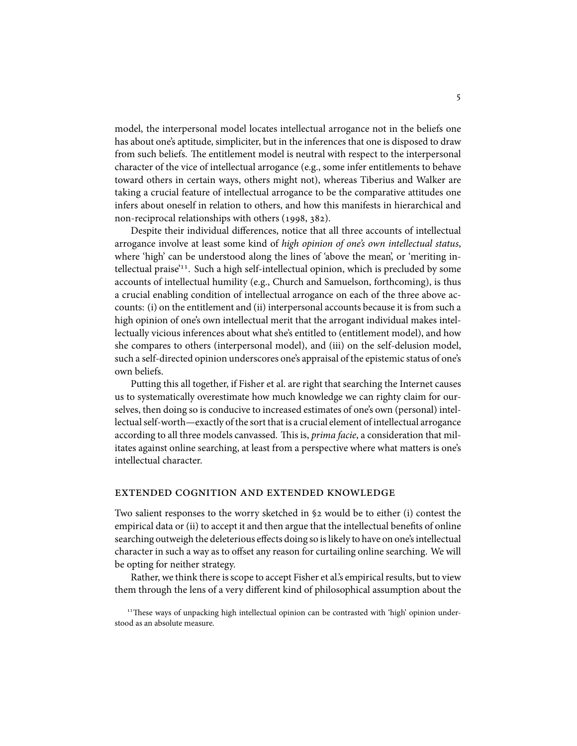model, the interpersonal model locates intellectual arrogance not in the beliefs one has about one's aptitude, simpliciter, but in the inferences that one is disposed to draw from such beliefs. The entitlement model is neutral with respect to the interpersonal character of the vice of intellectual arrogance (e.g., some infer entitlements to behave toward others in certain ways, others might not), whereas Tiberius and Walker are taking a crucial feature of intellectual arrogance to be the comparative attitudes one infers about oneself in relation to others, and how this manifests in hierarchical and non-reciprocal relationships with others (1998, 382).

Despite their individual differences, notice that all three accounts of intellectual arrogance involve at least some kind of *high opinion of one's own intellectual status*, where 'high' can be understood along the lines of 'above the mean', or 'meriting intellectual praise'[11](#page-5-0) *.* Such a high self-intellectual opinion, which is precluded by some accounts of intellectual humility (e.g., Church and Samuelson, forthcoming), is thus a crucial enabling condition of intellectual arrogance on each of the three above accounts: (i) on the entitlement and (ii) interpersonal accounts because it is from such a high opinion of one's own intellectual merit that the arrogant individual makes intellectually vicious inferences about what she's entitled to (entitlement model), and how she compares to others (interpersonal model), and (iii) on the self-delusion model, such a self-directed opinion underscores one's appraisal of the epistemic status of one's own beliefs.

Putting this all together, if Fisher et al. are right that searching the Internet causes us to systematically overestimate how much knowledge we can righty claim for ourselves, then doing so is conducive to increased estimates of one's own (personal) intellectual self-worth—exactly of the sort that is a crucial element of intellectual arrogance according to all three models canvassed. This is, *prima facie*, a consideration that militates against online searching, at least from a perspective where what matters is one's intellectual character.

# extended cognition and extended knowledge

Two salient responses to the worry sketched in §2 would be to either (i) contest the empirical data or (ii) to accept it and then argue that the intellectual benefits of online searching outweigh the deleterious effects doing so is likely to have on one's intellectual character in such a way as to offset any reason for curtailing online searching. We will be opting for neither strategy.

Rather, we think there is scope to accept Fisher et al.'s empirical results, but to view them through the lens of a very different kind of philosophical assumption about the

<span id="page-5-0"></span> $11$ These ways of unpacking high intellectual opinion can be contrasted with 'high' opinion understood as an absolute measure.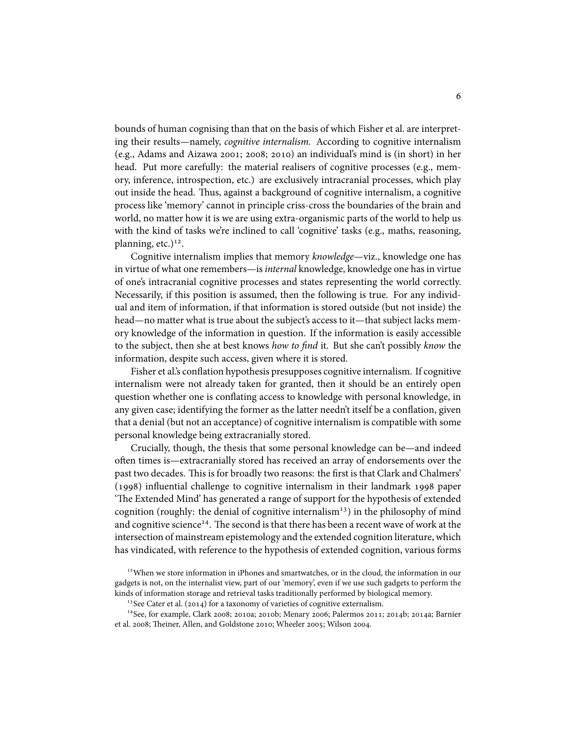bounds of human cognising than that on the basis of which Fisher et al. are interpreting their results—namely, *cognitive internalism.* According to cognitive internalism (e.g., Adams and Aizawa 2001; 2008; 2010) an individual's mind is (in short) in her head. Put more carefully: the material realisers of cognitive processes (e.g., memory, inference, introspection, etc.) are exclusively intracranial processes, which play out inside the head. Thus, against a background of cognitive internalism, a cognitive process like 'memory' cannot in principle criss-cross the boundaries of the brain and world, no matter how it is we are using extra-organismic parts of the world to help us with the kind of tasks we're inclined to call 'cognitive' tasks (e.g., maths, reasoning, planning, etc.)<sup>[12](#page-6-0)</sup>.

Cognitive internalism implies that memory *knowledge*—viz., knowledge one has in virtue of what one remembers—is *internal* knowledge, knowledge one has in virtue of one's intracranial cognitive processes and states representing the world correctly. Necessarily, if this position is assumed, then the following is true. For any individual and item of information, if that information is stored outside (but not inside) the head—no matter what is true about the subject's access to it—that subject lacks memory knowledge of the information in question. If the information is easily accessible to the subject, then she at best knows *how to find* it. But she can't possibly *know* the information, despite such access, given where it is stored.

Fisher et al.'s conflation hypothesis presupposes cognitive internalism. If cognitive internalism were not already taken for granted, then it should be an entirely open question whether one is conflating access to knowledge with personal knowledge, in any given case; identifying the former as the latter needn't itself be a conflation, given that a denial (but not an acceptance) of cognitive internalism is compatible with some personal knowledge being extracranially stored.

Crucially, though, the thesis that some personal knowledge can be—and indeed often times is—extracranially stored has received an array of endorsements over the past two decades. This is for broadly two reasons: the first is that Clark and Chalmers' (1998) influential challenge to cognitive internalism in their landmark 1998 paper 'The Extended Mind' has generated a range of support for the hypothesis of extended cognition (roughly: the denial of cognitive internalism<sup>[13](#page-6-1)</sup>) in the philosophy of mind and cognitive science<sup>[14](#page-6-2)</sup>. The second is that there has been a recent wave of work at the intersection of mainstream epistemology and the extended cognition literature, which has vindicated, with reference to the hypothesis of extended cognition, various forms

<span id="page-6-0"></span><sup>&</sup>lt;sup>12</sup>When we store information in iPhones and smartwatches, or in the cloud, the information in our gadgets is not, on the internalist view, part of our 'memory', even if we use such gadgets to perform the kinds of information storage and retrieval tasks traditionally performed by biological memory.

<span id="page-6-2"></span><span id="page-6-1"></span><sup>&</sup>lt;sup>13</sup>See Cater et al. (2014) for a taxonomy of varieties of cognitive externalism.

<sup>14</sup>See, for example, Clark 2008; 2010a; 2010b; Menary 2006; Palermos 2011; 2014b; 2014a; Barnier et al. 2008; Theiner, Allen, and Goldstone 2010; Wheeler 2005; Wilson 2004.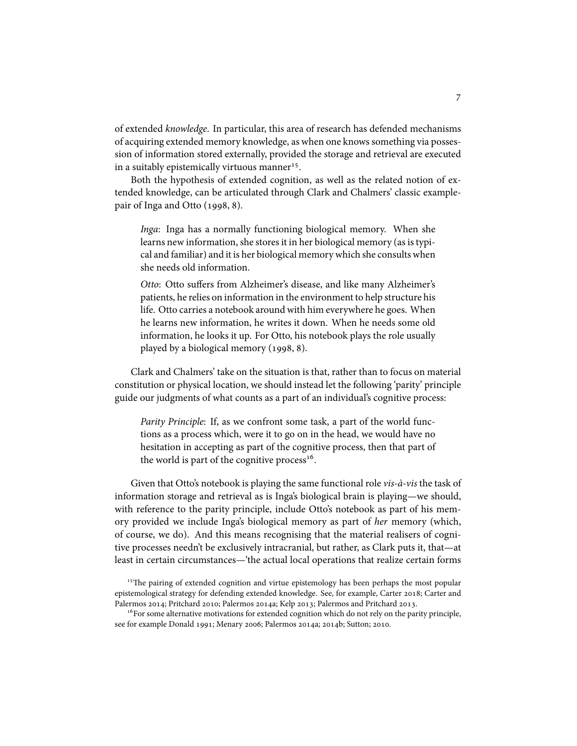of extended *knowledge*. In particular, this area of research has defended mechanisms of acquiring extended memory knowledge, as when one knows something via possession of information stored externally, provided the storage and retrieval are executed in a suitably epistemically virtuous manner<sup>[15](#page-7-0)</sup>.

Both the hypothesis of extended cognition, as well as the related notion of extended knowledge, can be articulated through Clark and Chalmers' classic examplepair of Inga and Otto (1998, 8).

*Inga*: Inga has a normally functioning biological memory. When she learns new information, she stores it in her biological memory (as is typical and familiar) and it is her biological memory which she consults when she needs old information.

*Otto*: Otto suffers from Alzheimer's disease, and like many Alzheimer's patients, he relies on information in the environment to help structure his life. Otto carries a notebook around with him everywhere he goes. When he learns new information, he writes it down. When he needs some old information, he looks it up. For Otto, his notebook plays the role usually played by a biological memory (1998, 8).

Clark and Chalmers' take on the situation is that, rather than to focus on material constitution or physical location, we should instead let the following 'parity' principle guide our judgments of what counts as a part of an individual's cognitive process:

*Parity Principle*: If, as we confront some task, a part of the world functions as a process which, were it to go on in the head, we would have no hesitation in accepting as part of the cognitive process, then that part of the world is part of the cognitive process<sup>[16](#page-7-1)</sup>.

Given that Otto's notebook is playing the same functional role *vis-à-vis* the task of information storage and retrieval as is Inga's biological brain is playing—we should, with reference to the parity principle, include Otto's notebook as part of his memory provided we include Inga's biological memory as part of *her* memory (which, of course, we do). And this means recognising that the material realisers of cognitive processes needn't be exclusively intracranial, but rather, as Clark puts it, that—at least in certain circumstances—'the actual local operations that realize certain forms

<span id="page-7-0"></span><sup>&</sup>lt;sup>15</sup>The pairing of extended cognition and virtue epistemology has been perhaps the most popular epistemological strategy for defending extended knowledge. See, for example, Carter 2018; Carter and Palermos 2014; Pritchard 2010; Palermos 2014a; Kelp 2013; Palermos and Pritchard 2013.

<span id="page-7-1"></span> $16$ For some alternative motivations for extended cognition which do not rely on the parity principle, see for example Donald 1991; Menary 2006; Palermos 2014a; 2014b; Sutton; 2010.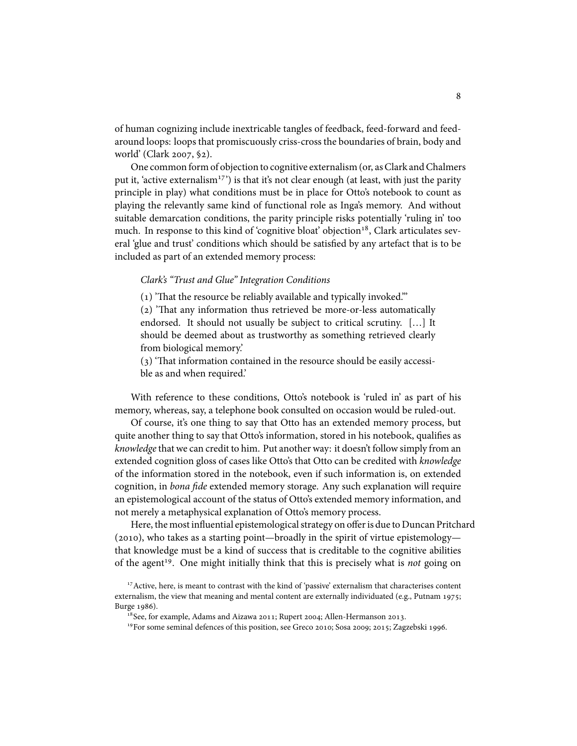of human cognizing include inextricable tangles of feedback, feed-forward and feedaround loops: loops that promiscuously criss-cross the boundaries of brain, body and world' (Clark 2007, §2).

One common form of objection to cognitive externalism (or, as Clark and Chalmers put it, 'active externalism<sup>[17](#page-8-0)'</sup>) is that it's not clear enough (at least, with just the parity principle in play) what conditions must be in place for Otto's notebook to count as playing the relevantly same kind of functional role as Inga's memory. And without suitable demarcation conditions, the parity principle risks potentially 'ruling in' too much. In response to this kind of 'cognitive bloat' objection $18$ , Clark articulates several 'glue and trust' conditions which should be satisfied by any artefact that is to be included as part of an extended memory process:

#### *Clark's "Trust and Glue" Integration Conditions*

(1) 'That the resource be reliably available and typically invoked."'

(2) 'That any information thus retrieved be more-or-less automatically endorsed. It should not usually be subject to critical scrutiny. […] It should be deemed about as trustworthy as something retrieved clearly from biological memory.'

(3) 'That information contained in the resource should be easily accessible as and when required.'

With reference to these conditions, Otto's notebook is 'ruled in' as part of his memory, whereas, say, a telephone book consulted on occasion would be ruled-out.

Of course, it's one thing to say that Otto has an extended memory process, but quite another thing to say that Otto's information, stored in his notebook, qualifies as *knowledge* that we can credit to him. Put another way: it doesn't follow simply from an extended cognition gloss of cases like Otto's that Otto can be credited with *knowledge* of the information stored in the notebook, even if such information is, on extended cognition, in *bona fide* extended memory storage. Any such explanation will require an epistemological account of the status of Otto's extended memory information, and not merely a metaphysical explanation of Otto's memory process.

Here, the most influential epistemological strategy on offer is due to Duncan Pritchard (2010), who takes as a starting point—broadly in the spirit of virtue epistemology that knowledge must be a kind of success that is creditable to the cognitive abilities of the agent<sup>[19](#page-8-2)</sup>. One might initially think that this is precisely what is *not* going on

<span id="page-8-0"></span><sup>&</sup>lt;sup>17</sup>Active, here, is meant to contrast with the kind of 'passive' externalism that characterises content externalism, the view that meaning and mental content are externally individuated (e.g., Putnam 1975; Burge 1986).

<span id="page-8-1"></span><sup>&</sup>lt;sup>18</sup>See, for example, Adams and Aizawa 2011; Rupert 2004; Allen-Hermanson 2013.

<span id="page-8-2"></span><sup>19</sup>For some seminal defences of this position, see Greco 2010; Sosa 2009; 2015; Zagzebski 1996.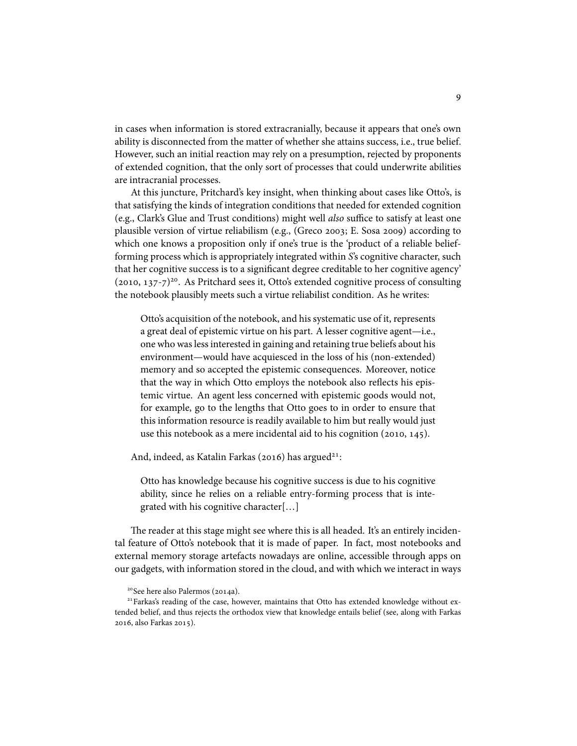in cases when information is stored extracranially, because it appears that one's own ability is disconnected from the matter of whether she attains success, i.e., true belief. However, such an initial reaction may rely on a presumption, rejected by proponents of extended cognition, that the only sort of processes that could underwrite abilities are intracranial processes.

At this juncture, Pritchard's key insight, when thinking about cases like Otto's, is that satisfying the kinds of integration conditions that needed for extended cognition (e.g., Clark's Glue and Trust conditions) might well *also* suffice to satisfy at least one plausible version of virtue reliabilism (e.g., (Greco 2003; E. Sosa 2009) according to which one knows a proposition only if one's true is the 'product of a reliable beliefforming process which is appropriately integrated within *S*'s cognitive character, such that her cognitive success is to a significant degree creditable to her cognitive agency'  $(2010, 137-7)^{20}$  $(2010, 137-7)^{20}$  $(2010, 137-7)^{20}$ . As Pritchard sees it, Otto's extended cognitive process of consulting the notebook plausibly meets such a virtue reliabilist condition. As he writes:

Otto's acquisition of the notebook, and his systematic use of it, represents a great deal of epistemic virtue on his part. A lesser cognitive agent—i.e., one who was less interested in gaining and retaining true beliefs about his environment—would have acquiesced in the loss of his (non-extended) memory and so accepted the epistemic consequences. Moreover, notice that the way in which Otto employs the notebook also reflects his epistemic virtue. An agent less concerned with epistemic goods would not, for example, go to the lengths that Otto goes to in order to ensure that this information resource is readily available to him but really would just use this notebook as a mere incidental aid to his cognition (2010, 145).

And, indeed, as Katalin Farkas (2016) has argued<sup>[21](#page-9-1)</sup>:

Otto has knowledge because his cognitive success is due to his cognitive ability, since he relies on a reliable entry-forming process that is integrated with his cognitive character[…]

The reader at this stage might see where this is all headed. It's an entirely incidental feature of Otto's notebook that it is made of paper. In fact, most notebooks and external memory storage artefacts nowadays are online, accessible through apps on our gadgets, with information stored in the cloud, and with which we interact in ways

<span id="page-9-1"></span><span id="page-9-0"></span><sup>&</sup>lt;sup>20</sup>See here also Palermos (2014a).

<sup>&</sup>lt;sup>21</sup> Farkas's reading of the case, however, maintains that Otto has extended knowledge without extended belief, and thus rejects the orthodox view that knowledge entails belief (see, along with Farkas 2016, also Farkas 2015).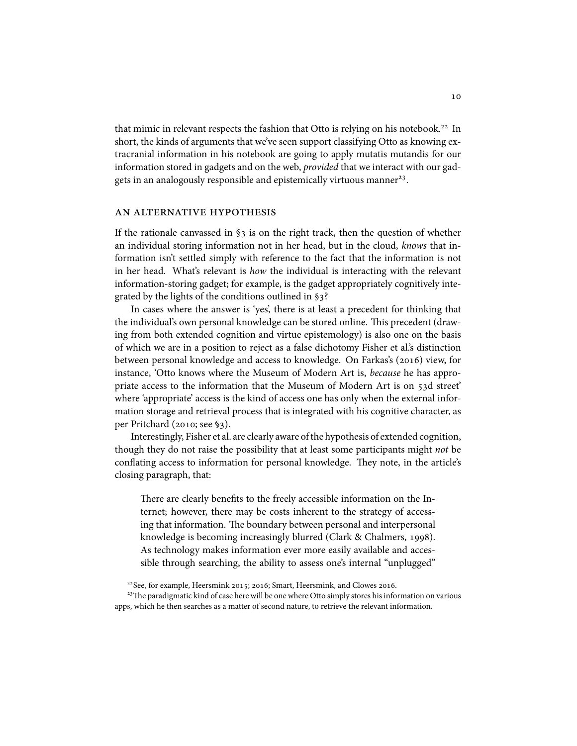that mimic in relevant respects the fashion that Otto is relying on his notebook.<sup>[22](#page-10-0)</sup> In short, the kinds of arguments that we've seen support classifying Otto as knowing extracranial information in his notebook are going to apply mutatis mutandis for our information stored in gadgets and on the web, *provided* that we interact with our gad-gets in an analogously responsible and epistemically virtuous manner<sup>[23](#page-10-1)</sup>.

#### an alternative hypothesis

If the rationale canvassed in §3 is on the right track, then the question of whether an individual storing information not in her head, but in the cloud, *knows* that information isn't settled simply with reference to the fact that the information is not in her head. What's relevant is *how* the individual is interacting with the relevant information-storing gadget; for example, is the gadget appropriately cognitively integrated by the lights of the conditions outlined in §3?

In cases where the answer is 'yes', there is at least a precedent for thinking that the individual's own personal knowledge can be stored online. This precedent (drawing from both extended cognition and virtue epistemology) is also one on the basis of which we are in a position to reject as a false dichotomy Fisher et al.'s distinction between personal knowledge and access to knowledge. On Farkas's (2016) view, for instance, 'Otto knows where the Museum of Modern Art is, *because* he has appropriate access to the information that the Museum of Modern Art is on 53d street' where 'appropriate' access is the kind of access one has only when the external information storage and retrieval process that is integrated with his cognitive character, as per Pritchard (2010; see §3).

Interestingly, Fisher et al. are clearly aware of the hypothesis of extended cognition, though they do not raise the possibility that at least some participants might *not* be conflating access to information for personal knowledge. They note, in the article's closing paragraph, that:

There are clearly benefits to the freely accessible information on the Internet; however, there may be costs inherent to the strategy of accessing that information. The boundary between personal and interpersonal knowledge is becoming increasingly blurred (Clark & Chalmers, 1998). As technology makes information ever more easily available and accessible through searching, the ability to assess one's internal "unplugged"

<span id="page-10-1"></span><span id="page-10-0"></span><sup>22</sup>See, for example, Heersmink 2015; 2016; Smart, Heersmink, and Clowes 2016.

<sup>23</sup>The paradigmatic kind of case here will be one where Otto simply stores his information on various apps, which he then searches as a matter of second nature, to retrieve the relevant information.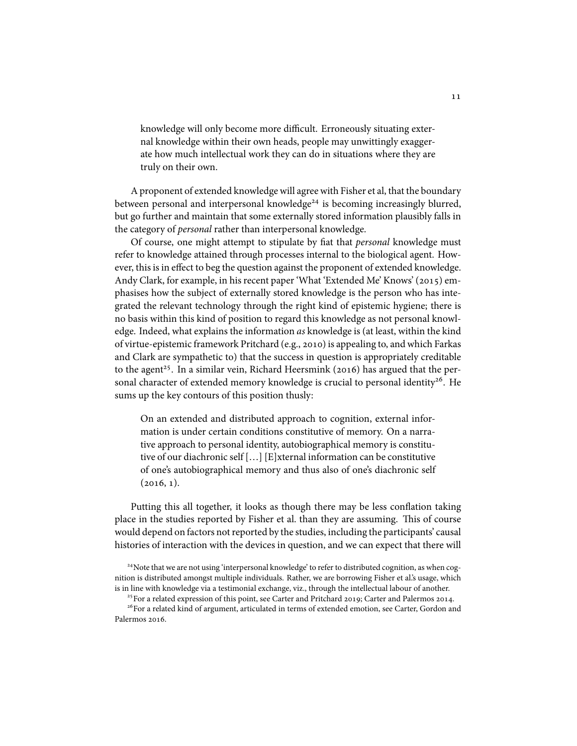knowledge will only become more difficult. Erroneously situating external knowledge within their own heads, people may unwittingly exaggerate how much intellectual work they can do in situations where they are truly on their own.

A proponent of extended knowledge will agree with Fisher et al, that the boundary between personal and interpersonal knowledge<sup>[24](#page-11-0)</sup> is becoming increasingly blurred, but go further and maintain that some externally stored information plausibly falls in the category of *personal* rather than interpersonal knowledge.

Of course, one might attempt to stipulate by fiat that *personal* knowledge must refer to knowledge attained through processes internal to the biological agent. However, this is in effect to beg the question against the proponent of extended knowledge. Andy Clark, for example, in his recent paper 'What 'Extended Me' Knows' (2015) emphasises how the subject of externally stored knowledge is the person who has integrated the relevant technology through the right kind of epistemic hygiene; there is no basis within this kind of position to regard this knowledge as not personal knowledge. Indeed, what explains the information *as* knowledge is (at least, within the kind of virtue-epistemic framework Pritchard (e.g., 2010) is appealing to, and which Farkas and Clark are sympathetic to) that the success in question is appropriately creditable to the agent<sup>[25](#page-11-1)</sup>. In a similar vein, Richard Heersmink (2016) has argued that the per-sonal character of extended memory knowledge is crucial to personal identity<sup>[26](#page-11-2)</sup>. He sums up the key contours of this position thusly:

On an extended and distributed approach to cognition, external information is under certain conditions constitutive of memory. On a narrative approach to personal identity, autobiographical memory is constitutive of our diachronic self […] [E]xternal information can be constitutive of one's autobiographical memory and thus also of one's diachronic self  $(2016, 1)$ .

Putting this all together, it looks as though there may be less conflation taking place in the studies reported by Fisher et al. than they are assuming. This of course would depend on factors not reported by the studies, including the participants' causal histories of interaction with the devices in question, and we can expect that there will

<span id="page-11-0"></span><sup>&</sup>lt;sup>24</sup>Note that we are not using 'interpersonal knowledge' to refer to distributed cognition, as when cognition is distributed amongst multiple individuals. Rather, we are borrowing Fisher et al.'s usage, which is in line with knowledge via a testimonial exchange, viz., through the intellectual labour of another.

<span id="page-11-2"></span><span id="page-11-1"></span><sup>&</sup>lt;sup>25</sup>For a related expression of this point, see Carter and Pritchard 2019; Carter and Palermos 2014.

<sup>&</sup>lt;sup>26</sup>For a related kind of argument, articulated in terms of extended emotion, see Carter, Gordon and Palermos 2016.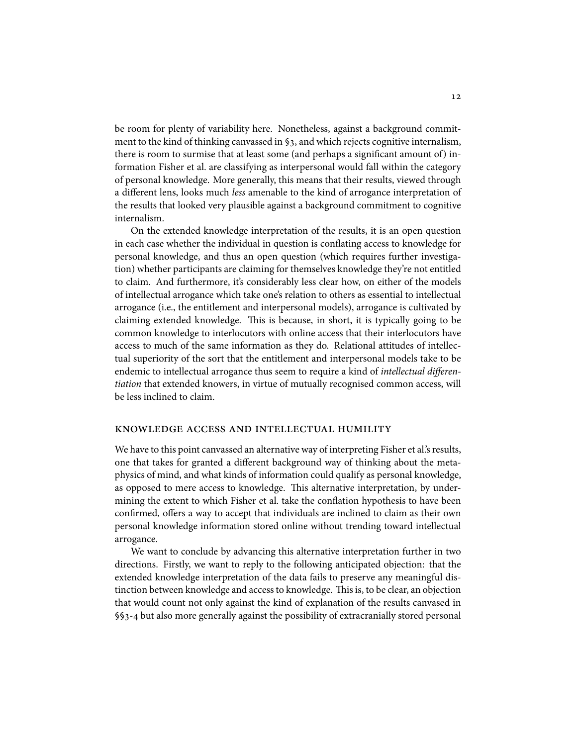be room for plenty of variability here. Nonetheless, against a background commitment to the kind of thinking canvassed in §3, and which rejects cognitive internalism, there is room to surmise that at least some (and perhaps a significant amount of) information Fisher et al. are classifying as interpersonal would fall within the category of personal knowledge. More generally, this means that their results, viewed through a different lens, looks much *less* amenable to the kind of arrogance interpretation of the results that looked very plausible against a background commitment to cognitive internalism.

On the extended knowledge interpretation of the results, it is an open question in each case whether the individual in question is conflating access to knowledge for personal knowledge, and thus an open question (which requires further investigation) whether participants are claiming for themselves knowledge they're not entitled to claim. And furthermore, it's considerably less clear how, on either of the models of intellectual arrogance which take one's relation to others as essential to intellectual arrogance (i.e., the entitlement and interpersonal models), arrogance is cultivated by claiming extended knowledge. This is because, in short, it is typically going to be common knowledge to interlocutors with online access that their interlocutors have access to much of the same information as they do. Relational attitudes of intellectual superiority of the sort that the entitlement and interpersonal models take to be endemic to intellectual arrogance thus seem to require a kind of *intellectual differentiation* that extended knowers, in virtue of mutually recognised common access, will be less inclined to claim.

## knowledge access and intellectual humility

We have to this point canvassed an alternative way of interpreting Fisher et al.'s results, one that takes for granted a different background way of thinking about the metaphysics of mind, and what kinds of information could qualify as personal knowledge, as opposed to mere access to knowledge. This alternative interpretation, by undermining the extent to which Fisher et al. take the conflation hypothesis to have been confirmed, offers a way to accept that individuals are inclined to claim as their own personal knowledge information stored online without trending toward intellectual arrogance.

We want to conclude by advancing this alternative interpretation further in two directions. Firstly, we want to reply to the following anticipated objection: that the extended knowledge interpretation of the data fails to preserve any meaningful distinction between knowledge and access to knowledge. This is, to be clear, an objection that would count not only against the kind of explanation of the results canvased in §§3-4 but also more generally against the possibility of extracranially stored personal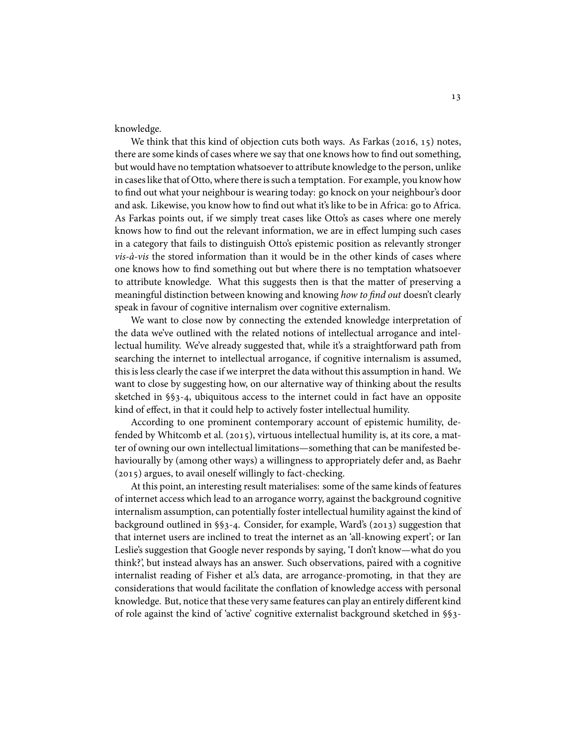knowledge.

We think that this kind of objection cuts both ways. As Farkas (2016, 15) notes, there are some kinds of cases where we say that one knows how to find out something, but would have no temptation whatsoever to attribute knowledge to the person, unlike in cases like that of Otto, where there is such a temptation. For example, you know how to find out what your neighbour is wearing today: go knock on your neighbour's door and ask. Likewise, you know how to find out what it's like to be in Africa: go to Africa. As Farkas points out, if we simply treat cases like Otto's as cases where one merely knows how to find out the relevant information, we are in effect lumping such cases in a category that fails to distinguish Otto's epistemic position as relevantly stronger *vis-à-vis* the stored information than it would be in the other kinds of cases where one knows how to find something out but where there is no temptation whatsoever to attribute knowledge. What this suggests then is that the matter of preserving a meaningful distinction between knowing and knowing *how to find out* doesn't clearly speak in favour of cognitive internalism over cognitive externalism.

We want to close now by connecting the extended knowledge interpretation of the data we've outlined with the related notions of intellectual arrogance and intellectual humility. We've already suggested that, while it's a straightforward path from searching the internet to intellectual arrogance, if cognitive internalism is assumed, this is less clearly the case if we interpret the data without this assumption in hand. We want to close by suggesting how, on our alternative way of thinking about the results sketched in §§3-4, ubiquitous access to the internet could in fact have an opposite kind of effect, in that it could help to actively foster intellectual humility.

According to one prominent contemporary account of epistemic humility, defended by Whitcomb et al. (2015), virtuous intellectual humility is, at its core, a matter of owning our own intellectual limitations—something that can be manifested behaviourally by (among other ways) a willingness to appropriately defer and, as Baehr (2015) argues, to avail oneself willingly to fact-checking.

At this point, an interesting result materialises: some of the same kinds of features of internet access which lead to an arrogance worry, against the background cognitive internalism assumption, can potentially foster intellectual humility against the kind of background outlined in §§3-4. Consider, for example, Ward's (2013) suggestion that that internet users are inclined to treat the internet as an 'all-knowing expert'; or Ian Leslie's suggestion that Google never responds by saying, 'I don't know—what do you think?', but instead always has an answer. Such observations, paired with a cognitive internalist reading of Fisher et al.'s data, are arrogance-promoting, in that they are considerations that would facilitate the conflation of knowledge access with personal knowledge. But, notice that these very same features can play an entirely different kind of role against the kind of 'active' cognitive externalist background sketched in §§3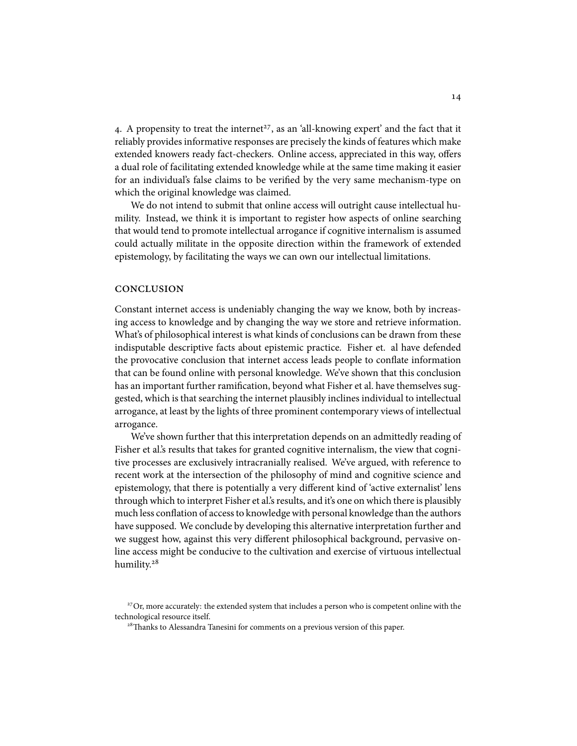4. A propensity to treat the internet<sup>[27](#page-14-0)</sup>, as an 'all-knowing expert' and the fact that it reliably provides informative responses are precisely the kinds of features which make extended knowers ready fact-checkers. Online access, appreciated in this way, offers a dual role of facilitating extended knowledge while at the same time making it easier for an individual's false claims to be verified by the very same mechanism-type on which the original knowledge was claimed.

We do not intend to submit that online access will outright cause intellectual humility. Instead, we think it is important to register how aspects of online searching that would tend to promote intellectual arrogance if cognitive internalism is assumed could actually militate in the opposite direction within the framework of extended epistemology, by facilitating the ways we can own our intellectual limitations.

#### conclusion

Constant internet access is undeniably changing the way we know, both by increasing access to knowledge and by changing the way we store and retrieve information. What's of philosophical interest is what kinds of conclusions can be drawn from these indisputable descriptive facts about epistemic practice. Fisher et. al have defended the provocative conclusion that internet access leads people to conflate information that can be found online with personal knowledge. We've shown that this conclusion has an important further ramification, beyond what Fisher et al. have themselves suggested, which is that searching the internet plausibly inclines individual to intellectual arrogance, at least by the lights of three prominent contemporary views of intellectual arrogance.

We've shown further that this interpretation depends on an admittedly reading of Fisher et al.'s results that takes for granted cognitive internalism, the view that cognitive processes are exclusively intracranially realised. We've argued, with reference to recent work at the intersection of the philosophy of mind and cognitive science and epistemology, that there is potentially a very different kind of 'active externalist' lens through which to interpret Fisher et al.'s results, and it's one on which there is plausibly much less conflation of access to knowledge with personal knowledge than the authors have supposed. We conclude by developing this alternative interpretation further and we suggest how, against this very different philosophical background, pervasive online access might be conducive to the cultivation and exercise of virtuous intellectual humility.<sup>[28](#page-14-1)</sup>

<span id="page-14-0"></span> $27$  Or, more accurately: the extended system that includes a person who is competent online with the technological resource itself.

<span id="page-14-1"></span><sup>&</sup>lt;sup>28</sup>Thanks to Alessandra Tanesini for comments on a previous version of this paper.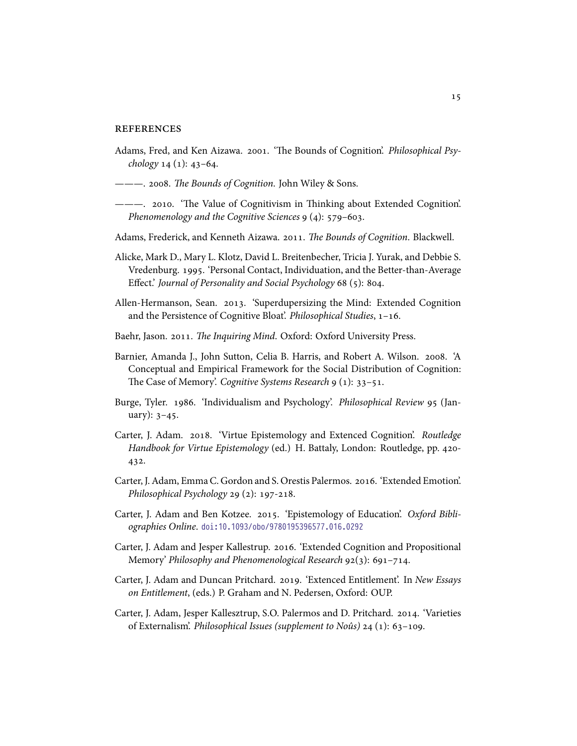#### **REFERENCES**

- Adams, Fred, and Ken Aizawa. 2001. 'The Bounds of Cognition'. *Philosophical Psychology* 14 (1): 43–64.
- ———. 2008. *The Bounds of Cognition*. John Wiley & Sons.
- ———. 2010. 'The Value of Cognitivism in Thinking about Extended Cognition'. *Phenomenology and the Cognitive Sciences* 9 (4): 579–603.
- Adams, Frederick, and Kenneth Aizawa. 2011. *The Bounds of Cognition*. Blackwell.
- Alicke, Mark D., Mary L. Klotz, David L. Breitenbecher, Tricia J. Yurak, and Debbie S. Vredenburg. 1995. 'Personal Contact, Individuation, and the Better-than-Average Effect.' *Journal of Personality and Social Psychology* 68 (5): 804.
- Allen-Hermanson, Sean. 2013. 'Superdupersizing the Mind: Extended Cognition and the Persistence of Cognitive Bloat'. *Philosophical Studies*, 1–16.
- Baehr, Jason. 2011. *The Inquiring Mind*. Oxford: Oxford University Press.
- Barnier, Amanda J., John Sutton, Celia B. Harris, and Robert A. Wilson. 2008. 'A Conceptual and Empirical Framework for the Social Distribution of Cognition: The Case of Memory'. *Cognitive Systems Research* 9 (1): 33–51.
- Burge, Tyler. 1986. 'Individualism and Psychology'. *Philosophical Review* 95 (January): 3–45.
- Carter, J. Adam. 2018. 'Virtue Epistemology and Extenced Cognition'. *Routledge Handbook for Virtue Epistemology* (ed.) H. Battaly, London: Routledge, pp. 420- 432.
- Carter, J. Adam, Emma C. Gordon and S. Orestis Palermos. 2016. 'Extended Emotion'. *Philosophical Psychology* 29 (2): 197-218.
- Carter, J. Adam and Ben Kotzee. 2015. 'Epistemology of Education'. *Oxford Bibliographies Online*. <doi:10.1093/obo/9780195396577.016.0292>
- Carter, J. Adam and Jesper Kallestrup. 2016. 'Extended Cognition and Propositional Memory' *Philosophy and Phenomenological Research* 92(3): 691–714.
- Carter, J. Adam and Duncan Pritchard. 2019. 'Extenced Entitlement'. In *New Essays on Entitlement*, (eds.) P. Graham and N. Pedersen, Oxford: OUP.
- Carter, J. Adam, Jesper Kallesztrup, S.O. Palermos and D. Pritchard. 2014. 'Varieties of Externalism'. *Philosophical Issues (supplement to Noûs)* 24 (1): 63–109.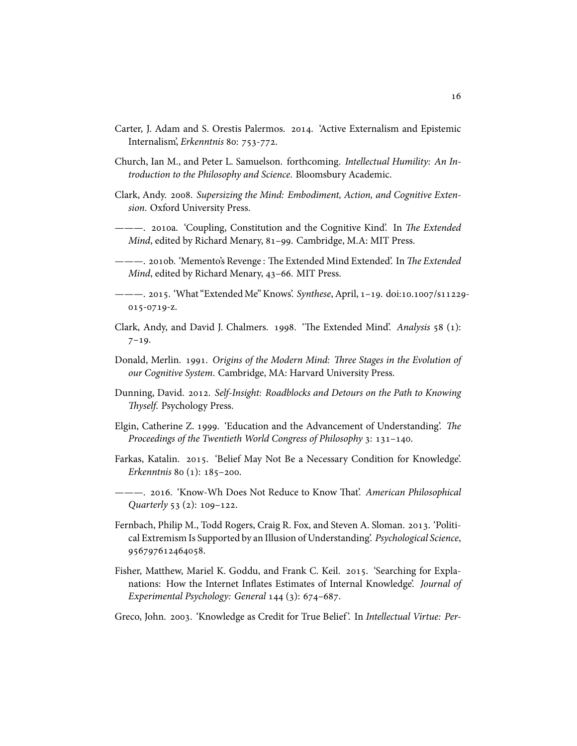- Carter, J. Adam and S. Orestis Palermos. 2014. 'Active Externalism and Epistemic Internalism', *Erkenntnis* 80: 753-772.
- Church, Ian M., and Peter L. Samuelson. forthcoming. *Intellectual Humility: An Introduction to the Philosophy and Science*. Bloomsbury Academic.
- Clark, Andy. 2008. *Supersizing the Mind: Embodiment, Action, and Cognitive Extension*. Oxford University Press.
- ———. 2010a. 'Coupling, Constitution and the Cognitive Kind'. In *The Extended Mind*, edited by Richard Menary, 81–99. Cambridge, M.A: MIT Press.
- ———. 2010b. 'Memento's Revenge : The Extended Mind Extended'. In *The Extended Mind*, edited by Richard Menary, 43–66. MIT Press.
- ———. 2015. 'What "Extended Me" Knows'. *Synthese*, April, 1–19. doi:10.1007/s11229- 015-0719-z.
- Clark, Andy, and David J. Chalmers. 1998. 'The Extended Mind'. *Analysis* 58 (1):  $7 - 19.$
- Donald, Merlin. 1991. *Origins of the Modern Mind: Three Stages in the Evolution of our Cognitive System*. Cambridge, MA: Harvard University Press.
- Dunning, David. 2012. *Self-Insight: Roadblocks and Detours on the Path to Knowing Thyself*. Psychology Press.
- Elgin, Catherine Z. 1999. 'Education and the Advancement of Understanding'. *The Proceedings of the Twentieth World Congress of Philosophy* 3: 131–140.
- Farkas, Katalin. 2015. 'Belief May Not Be a Necessary Condition for Knowledge'. *Erkenntnis* 80 (1): 185–200.
- ———. 2016. 'Know-Wh Does Not Reduce to Know That'. *American Philosophical Quarterly* 53 (2): 109–122.
- Fernbach, Philip M., Todd Rogers, Craig R. Fox, and Steven A. Sloman. 2013. 'Political Extremism Is Supported by an Illusion of Understanding'. *Psychological Science*, 956797612464058.
- Fisher, Matthew, Mariel K. Goddu, and Frank C. Keil. 2015. 'Searching for Explanations: How the Internet Inflates Estimates of Internal Knowledge'. *Journal of Experimental Psychology: General* 144 (3): 674–687.
- Greco, John. 2003. 'Knowledge as Credit for True Belief '. In *Intellectual Virtue: Per-*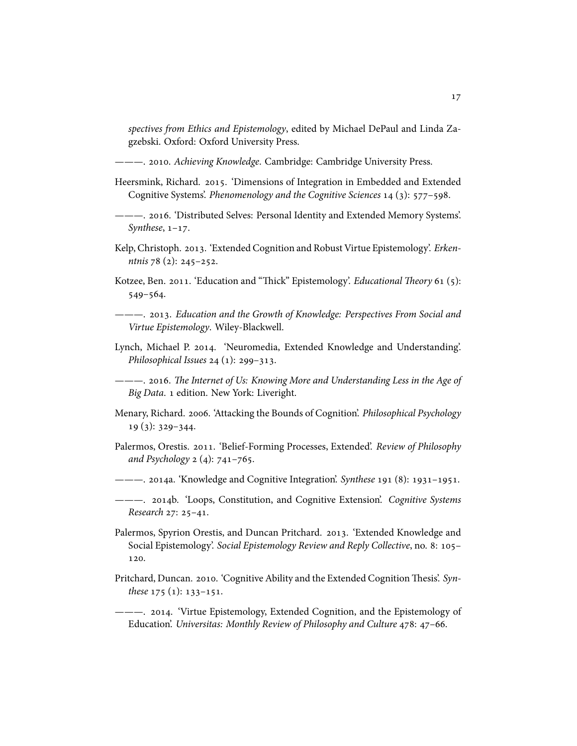*spectives from Ethics and Epistemology*, edited by Michael DePaul and Linda Zagzebski. Oxford: Oxford University Press.

———. 2010. *Achieving Knowledge*. Cambridge: Cambridge University Press.

- Heersmink, Richard. 2015. 'Dimensions of Integration in Embedded and Extended Cognitive Systems'. *Phenomenology and the Cognitive Sciences* 14 (3): 577–598.
- ———. 2016. 'Distributed Selves: Personal Identity and Extended Memory Systems'. *Synthese*, 1–17.
- Kelp, Christoph. 2013. 'Extended Cognition and Robust Virtue Epistemology'. *Erkenntnis* 78 (2): 245–252.
- Kotzee, Ben. 2011. 'Education and "Thick" Epistemology'. *Educational Theory* 61 (5): 549–564.
- ———. 2013. *Education and the Growth of Knowledge: Perspectives From Social and Virtue Epistemology*. Wiley-Blackwell.
- Lynch, Michael P. 2014. 'Neuromedia, Extended Knowledge and Understanding'. *Philosophical Issues* 24 (1): 299–313.
- ———. 2016. *The Internet of Us: Knowing More and Understanding Less in the Age of Big Data*. 1 edition. New York: Liveright.
- Menary, Richard. 2006. 'Attacking the Bounds of Cognition'. *Philosophical Psychology* 19 (3): 329–344.
- Palermos, Orestis. 2011. 'Belief-Forming Processes, Extended'. *Review of Philosophy and Psychology* 2 (4): 741–765.
- ———. 2014a. 'Knowledge and Cognitive Integration'. *Synthese* 191 (8): 1931–1951.
- ———. 2014b. 'Loops, Constitution, and Cognitive Extension'. *Cognitive Systems Research* 27: 25–41.
- Palermos, Spyrion Orestis, and Duncan Pritchard. 2013. 'Extended Knowledge and Social Epistemology'. *Social Epistemology Review and Reply Collective*, no. 8: 105– 120.
- Pritchard, Duncan. 2010. 'Cognitive Ability and the Extended Cognition Thesis'. *Synthese* 175 (1): 133–151.
- ———. 2014. 'Virtue Epistemology, Extended Cognition, and the Epistemology of Education'. *Universitas: Monthly Review of Philosophy and Culture* 478: 47–66.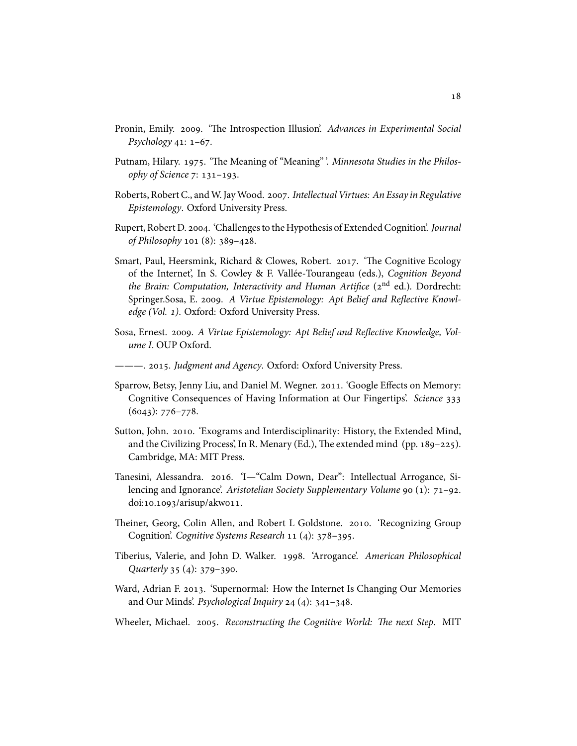- Pronin, Emily. 2009. 'The Introspection Illusion'. *Advances in Experimental Social Psychology* 41: 1–67.
- Putnam, Hilary. 1975. 'The Meaning of "Meaning" '. *Minnesota Studies in the Philosophy of Science* 7: 131–193.
- Roberts, Robert C., andW. JayWood. 2007. *Intellectual Virtues: An Essay in Regulative Epistemology*. Oxford University Press.
- Rupert, Robert D. 2004. 'Challenges to the Hypothesis of Extended Cognition'. *Journal of Philosophy* 101 (8): 389–428.
- Smart, Paul, Heersmink, Richard & Clowes, Robert. 2017. 'The Cognitive Ecology of the Internet', In S. Cowley & F. Vallée-Tourangeau (eds.), *Cognition Beyond the Brain: Computation, Interactivity and Human Artifice* (2<sup>nd</sup> ed.). Dordrecht: Springer.Sosa, E. 2009. *A Virtue Epistemology: Apt Belief and Reflective Knowledge (Vol. 1)*. Oxford: Oxford University Press.
- Sosa, Ernest. 2009. *A Virtue Epistemology: Apt Belief and Reflective Knowledge, Volume I*. OUP Oxford.
- ———. 2015. *Judgment and Agency*. Oxford: Oxford University Press.
- Sparrow, Betsy, Jenny Liu, and Daniel M. Wegner. 2011. 'Google Effects on Memory: Cognitive Consequences of Having Information at Our Fingertips'. *Science* 333  $(6043): 776 - 778.$
- Sutton, John. 2010. 'Exograms and Interdisciplinarity: History, the Extended Mind, and the Civilizing Process', In R. Menary (Ed.), The extended mind (pp. 189–225). Cambridge, MA: MIT Press.
- Tanesini, Alessandra. 2016. 'I—"Calm Down, Dear": Intellectual Arrogance, Silencing and Ignorance'. *Aristotelian Society Supplementary Volume* 90 (1): 71–92. doi:10.1093/arisup/akw011.
- Theiner, Georg, Colin Allen, and Robert L Goldstone. 2010. 'Recognizing Group Cognition'. *Cognitive Systems Research* 11 (4): 378–395.
- Tiberius, Valerie, and John D. Walker. 1998. 'Arrogance'. *American Philosophical Quarterly* 35 (4): 379–390.
- Ward, Adrian F. 2013. 'Supernormal: How the Internet Is Changing Our Memories and Our Minds'. *Psychological Inquiry* 24 (4): 341–348.
- Wheeler, Michael. 2005. *Reconstructing the Cognitive World: The next Step*. MIT